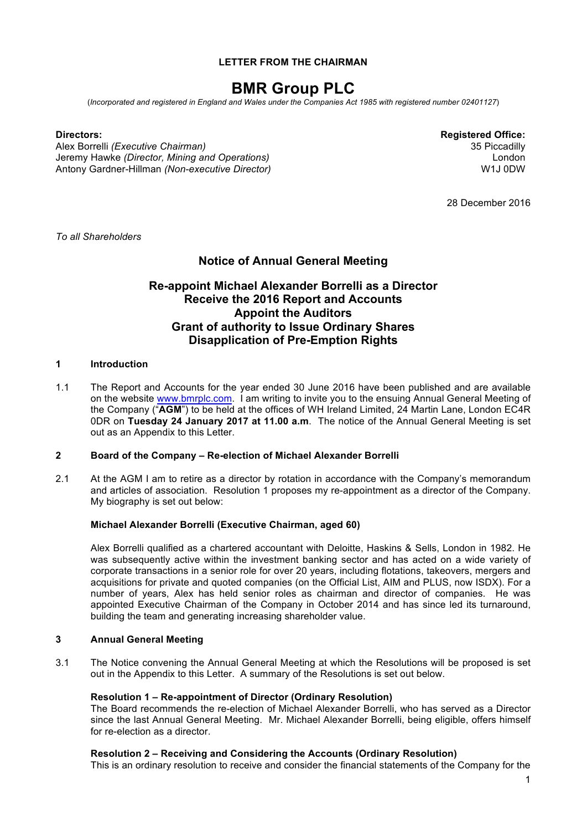## **LETTER FROM THE CHAIRMAN**

# **BMR Group PLC**

(*Incorporated and registered in England and Wales under the Companies Act 1985 with registered number 02401127*)

Alex Borrelli *(Executive Chairman)* 35 Piccadilly Jeremy Hawke *(Director, Mining and Operations)* Antony Gardner-Hillman *(Non-executive Director)*

**Directors: Registered Office:** London W1J 0DW

28 December 2016

*To all Shareholders*

## **Notice of Annual General Meeting**

## **Re-appoint Michael Alexander Borrelli as a Director Receive the 2016 Report and Accounts Appoint the Auditors Grant of authority to Issue Ordinary Shares Disapplication of Pre-Emption Rights**

## **1 Introduction**

1.1 The Report and Accounts for the year ended 30 June 2016 have been published and are available on the website www.bmrplc.com. I am writing to invite you to the ensuing Annual General Meeting of the Company ("**AGM**") to be held at the offices of WH Ireland Limited, 24 Martin Lane, London EC4R 0DR on **Tuesday 24 January 2017 at 11.00 a.m**. The notice of the Annual General Meeting is set out as an Appendix to this Letter.

## **2 Board of the Company – Re-election of Michael Alexander Borrelli**

2.1 At the AGM I am to retire as a director by rotation in accordance with the Company's memorandum and articles of association. Resolution 1 proposes my re-appointment as a director of the Company. My biography is set out below:

## **Michael Alexander Borrelli (Executive Chairman, aged 60)**

Alex Borrelli qualified as a chartered accountant with Deloitte, Haskins & Sells, London in 1982. He was subsequently active within the investment banking sector and has acted on a wide variety of corporate transactions in a senior role for over 20 years, including flotations, takeovers, mergers and acquisitions for private and quoted companies (on the Official List, AIM and PLUS, now ISDX). For a number of years, Alex has held senior roles as chairman and director of companies. He was appointed Executive Chairman of the Company in October 2014 and has since led its turnaround, building the team and generating increasing shareholder value.

## **3 Annual General Meeting**

3.1 The Notice convening the Annual General Meeting at which the Resolutions will be proposed is set out in the Appendix to this Letter. A summary of the Resolutions is set out below.

## **Resolution 1 – Re-appointment of Director (Ordinary Resolution)**

The Board recommends the re-election of Michael Alexander Borrelli, who has served as a Director since the last Annual General Meeting. Mr. Michael Alexander Borrelli, being eligible, offers himself for re-election as a director.

## **Resolution 2 – Receiving and Considering the Accounts (Ordinary Resolution)**

This is an ordinary resolution to receive and consider the financial statements of the Company for the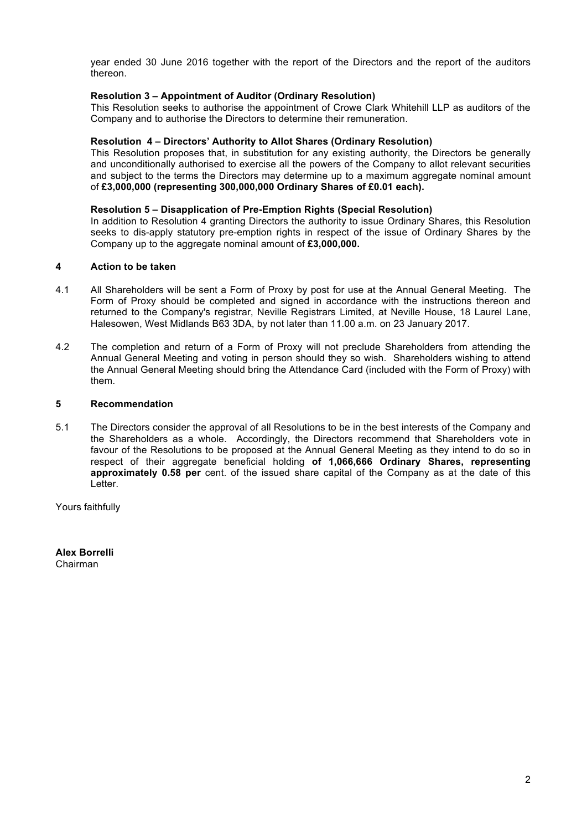year ended 30 June 2016 together with the report of the Directors and the report of the auditors thereon.

## **Resolution 3 – Appointment of Auditor (Ordinary Resolution)**

This Resolution seeks to authorise the appointment of Crowe Clark Whitehill LLP as auditors of the Company and to authorise the Directors to determine their remuneration.

## **Resolution 4 – Directors' Authority to Allot Shares (Ordinary Resolution)**

This Resolution proposes that, in substitution for any existing authority, the Directors be generally and unconditionally authorised to exercise all the powers of the Company to allot relevant securities and subject to the terms the Directors may determine up to a maximum aggregate nominal amount of **£3,000,000 (representing 300,000,000 Ordinary Shares of £0.01 each).** 

## **Resolution 5 – Disapplication of Pre-Emption Rights (Special Resolution)**

In addition to Resolution 4 granting Directors the authority to issue Ordinary Shares, this Resolution seeks to dis-apply statutory pre-emption rights in respect of the issue of Ordinary Shares by the Company up to the aggregate nominal amount of **£3,000,000.**

## **4 Action to be taken**

- 4.1 All Shareholders will be sent a Form of Proxy by post for use at the Annual General Meeting. The Form of Proxy should be completed and signed in accordance with the instructions thereon and returned to the Company's registrar, Neville Registrars Limited, at Neville House, 18 Laurel Lane, Halesowen, West Midlands B63 3DA, by not later than 11.00 a.m. on 23 January 2017.
- 4.2 The completion and return of a Form of Proxy will not preclude Shareholders from attending the Annual General Meeting and voting in person should they so wish. Shareholders wishing to attend the Annual General Meeting should bring the Attendance Card (included with the Form of Proxy) with them.

## **5 Recommendation**

5.1 The Directors consider the approval of all Resolutions to be in the best interests of the Company and the Shareholders as a whole. Accordingly, the Directors recommend that Shareholders vote in favour of the Resolutions to be proposed at the Annual General Meeting as they intend to do so in respect of their aggregate beneficial holding **of 1,066,666 Ordinary Shares, representing approximately 0.58 per** cent. of the issued share capital of the Company as at the date of this Letter.

Yours faithfully

**Alex Borrelli** Chairman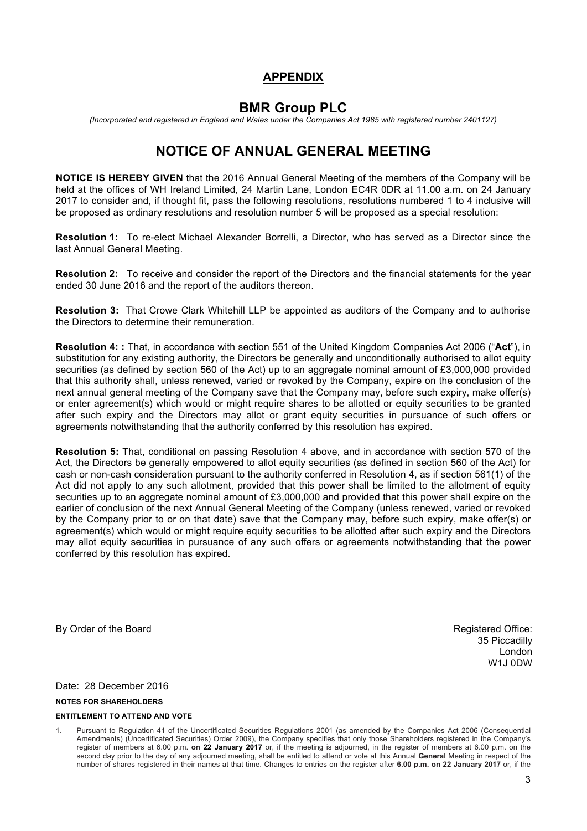# **APPENDIX**

# **BMR Group PLC**

*(Incorporated and registered in England and Wales under the Companies Act 1985 with registered number 2401127)*

# **NOTICE OF ANNUAL GENERAL MEETING**

**NOTICE IS HEREBY GIVEN** that the 2016 Annual General Meeting of the members of the Company will be held at the offices of WH Ireland Limited, 24 Martin Lane, London EC4R 0DR at 11.00 a.m. on 24 January 2017 to consider and, if thought fit, pass the following resolutions, resolutions numbered 1 to 4 inclusive will be proposed as ordinary resolutions and resolution number 5 will be proposed as a special resolution:

**Resolution 1:** To re-elect Michael Alexander Borrelli, a Director, who has served as a Director since the last Annual General Meeting.

**Resolution 2:** To receive and consider the report of the Directors and the financial statements for the year ended 30 June 2016 and the report of the auditors thereon.

**Resolution 3:** That Crowe Clark Whitehill LLP be appointed as auditors of the Company and to authorise the Directors to determine their remuneration.

**Resolution 4: :** That, in accordance with section 551 of the United Kingdom Companies Act 2006 ("**Act**"), in substitution for any existing authority, the Directors be generally and unconditionally authorised to allot equity securities (as defined by section 560 of the Act) up to an aggregate nominal amount of £3,000,000 provided that this authority shall, unless renewed, varied or revoked by the Company, expire on the conclusion of the next annual general meeting of the Company save that the Company may, before such expiry, make offer(s) or enter agreement(s) which would or might require shares to be allotted or equity securities to be granted after such expiry and the Directors may allot or grant equity securities in pursuance of such offers or agreements notwithstanding that the authority conferred by this resolution has expired.

**Resolution 5:** That, conditional on passing Resolution 4 above, and in accordance with section 570 of the Act, the Directors be generally empowered to allot equity securities (as defined in section 560 of the Act) for cash or non-cash consideration pursuant to the authority conferred in Resolution 4, as if section 561(1) of the Act did not apply to any such allotment, provided that this power shall be limited to the allotment of equity securities up to an aggregate nominal amount of £3,000,000 and provided that this power shall expire on the earlier of conclusion of the next Annual General Meeting of the Company (unless renewed, varied or revoked by the Company prior to or on that date) save that the Company may, before such expiry, make offer(s) or agreement(s) which would or might require equity securities to be allotted after such expiry and the Directors may allot equity securities in pursuance of any such offers or agreements notwithstanding that the power conferred by this resolution has expired.

By Order of the Board **Registered Office: By Order of the Board** Registered Office:

35 Piccadilly London W1J 0DW

Date: 28 December 2016

#### **NOTES FOR SHAREHOLDERS**

#### **ENTITLEMENT TO ATTEND AND VOTE**

<sup>1.</sup> Pursuant to Regulation 41 of the Uncertificated Securities Regulations 2001 (as amended by the Companies Act 2006 (Consequential Amendments) (Uncertificated Securities) Order 2009), the Company specifies that only those Shareholders registered in the Company's register of members at 6.00 p.m. **on 22 January 2017** or, if the meeting is adjourned, in the register of members at 6.00 p.m. on the second day prior to the day of any adjourned meeting, shall be entitled to attend or vote at this Annual **General** Meeting in respect of the number of shares registered in their names at that time. Changes to entries on the register after **6.00 p.m. on 22 January 2017** or, if the